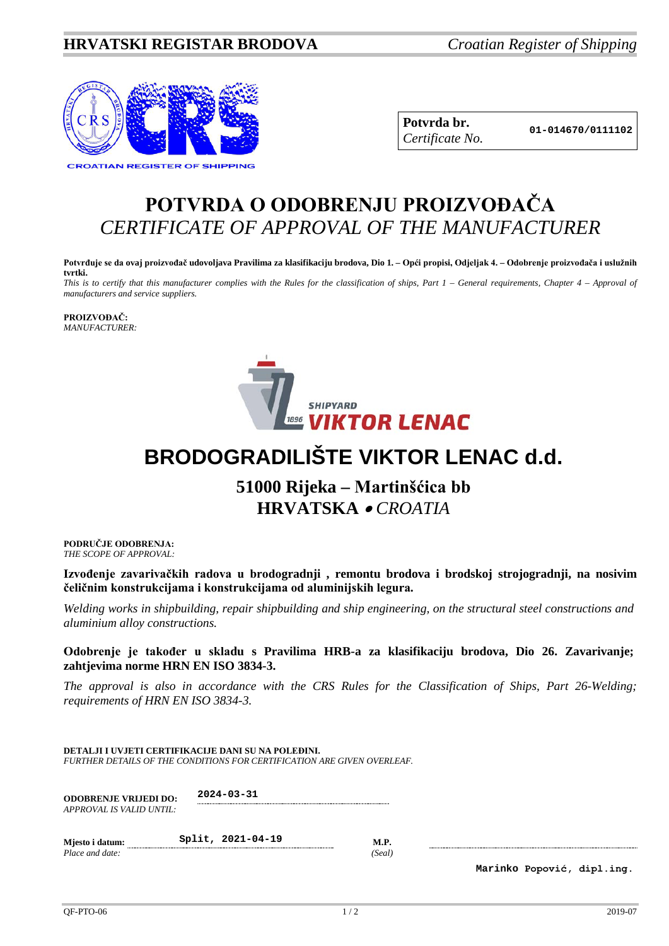## **HRVATSKI REGISTAR BRODOVA** *Croatian Register of Shipping*



**Potvrda br. 01-014670/0111102** *Certificate No.*

## **POTVRDA O ODOBRENJU PROIZVOĐAČA** *CERTIFICATE OF APPROVAL OF THE MANUFACTURER*

**Potvrđuje se da ovaj proizvođač udovoljava Pravilima za klasifikaciju brodova, Dio 1. – Opći propisi, Odjeljak 4. – Odobrenje proizvođača i uslužnih tvrtki.**

*This is to certify that this manufacturer complies with the Rules for the classification of ships, Part 1 – General requirements, Chapter 4 – Approval of manufacturers and service suppliers.*

**PROIZVOĐAČ:** *MANUFACTURER:*



## **BRODOGRADILIŠTE VIKTOR LENAC d.d.**

## **51000 Rijeka – Martinšćica bb HRVATSKA** • *CROATIA*

**PODRUČJE ODOBRENJA:** *THE SCOPE OF APPROVAL:*

**Izvođenje zavarivačkih radova u brodogradnji , remontu brodova i brodskoj strojogradnji, na nosivim čeličnim konstrukcijama i konstrukcijama od aluminijskih legura.**

*Welding works in shipbuilding, repair shipbuilding and ship engineering, on the structural steel constructions and aluminium alloy constructions.*

**Odobrenje je također u skladu s Pravilima HRB-a za klasifikaciju brodova, Dio 26. Zavarivanje; zahtjevima norme HRN EN ISO 3834-3.**

*The approval is also in accordance with the CRS Rules for the Classification of Ships, Part 26-Welding; requirements of HRN EN ISO 3834-3.* 

| DETALJI I UVJETI CERTIFIKACIJE DANI SU NA POLEĐINI.                            |  |
|--------------------------------------------------------------------------------|--|
| <b>FURTHER DETAILS OF THE CONDITIONS FOR CERTIFICATION ARE GIVEN OVERLEAF.</b> |  |

| <b>ODOBRENJE VRIJEDI DO:</b> | $2024 - 03 - 31$ |
|------------------------------|------------------|
| APPROVAL IS VALID UNTIL:     |                  |

| Miesto i datum: | Split, 2021-04-19 | <b>M.P.</b> |
|-----------------|-------------------|-------------|
| Place and date: |                   | (Seal)      |

**Marinko Popović, dipl.ing.**